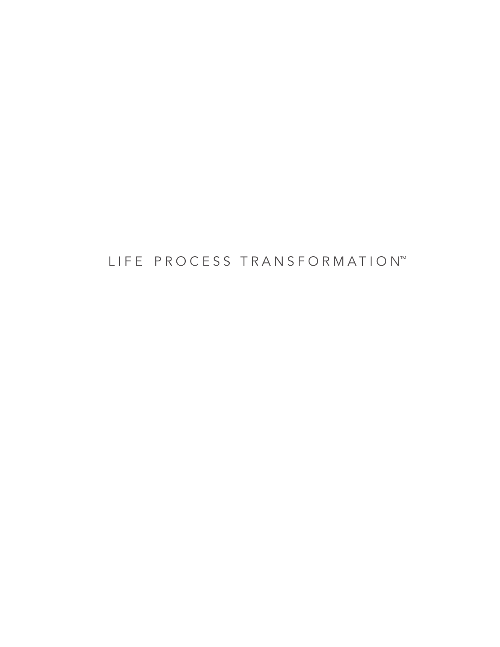LIFE PROCESS TRANSFORMATION™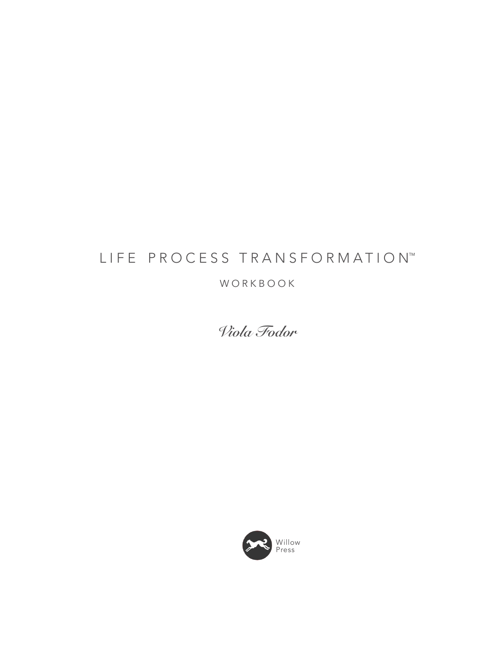# LIFE PROCESS TRANSFORMATION™

### WORKBOOK

**Viola Fodor**

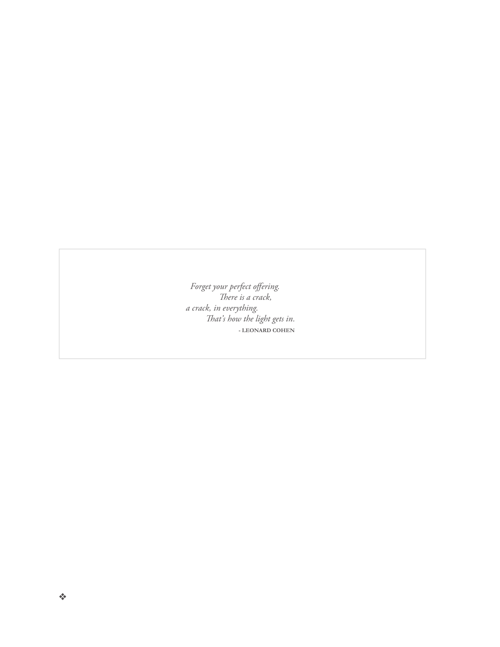Forget your perfect offering.<br>There is a crack,<br>a crack, in everything.<br>That's how the light gets in.<br>-LEONARD COHEN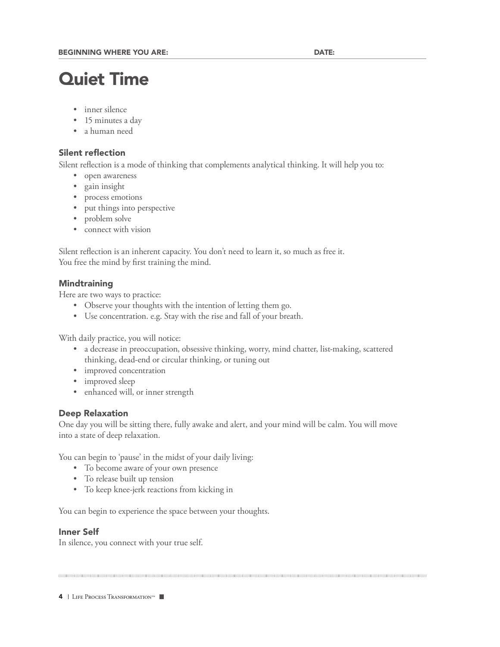## Quiet Time

- inner silence
- 15 minutes a day
- a human need

#### **Silent reflection**

Silent reflection is a mode of thinking that complements analytical thinking. It will help you to:

- open awareness
- gain insight
- process emotions
- put things into perspective
- problem solve
- connect with vision

Silent reflection is an inherent capacity. You don't need to learn it, so much as free it. You free the mind by first training the mind.

#### **Mindtraining**

Here are two ways to practice:

- Observe your thoughts with the intention of letting them go.
- Use concentration. e.g. Stay with the rise and fall of your breath.

With daily practice, you will notice:

- a decrease in preoccupation, obsessive thinking, worry, mind chatter, list-making, scattered thinking, dead-end or circular thinking, or tuning out
- improved concentration
- improved sleep
- enhanced will, or inner strength

#### Deep Relaxation

One day you will be sitting there, fully awake and alert, and your mind will be calm. You will move into a state of deep relaxation.

You can begin to 'pause' in the midst of your daily living:

- To become aware of your own presence
- To release built up tension
- To keep knee-jerk reactions from kicking in

You can begin to experience the space between your thoughts.

#### Inner Self

In silence, you connect with your true self.